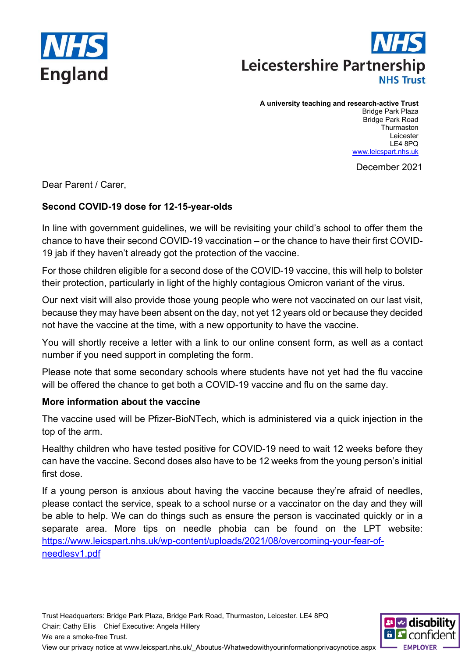



#### **A university teaching and research-active Trust**

Bridge Park Plaza Bridge Park Road **Thurmaston** Leicester LE4 8PQ www.leicspart.nhs.uk

December 2021

Dear Parent / Carer,

## **Second COVID-19 dose for 12-15-year-olds**

In line with government guidelines, we will be revisiting your child's school to offer them the chance to have their second COVID-19 vaccination – or the chance to have their first COVID-19 jab if they haven't already got the protection of the vaccine.

For those children eligible for a second dose of the COVID-19 vaccine, this will help to bolster their protection, particularly in light of the highly contagious Omicron variant of the virus.

Our next visit will also provide those young people who were not vaccinated on our last visit, because they may have been absent on the day, not yet 12 years old or because they decided not have the vaccine at the time, with a new opportunity to have the vaccine.

You will shortly receive a letter with a link to our online consent form, as well as a contact number if you need support in completing the form.

Please note that some secondary schools where students have not yet had the flu vaccine will be offered the chance to get both a COVID-19 vaccine and flu on the same day.

### **More information about the vaccine**

The vaccine used will be Pfizer-BioNTech, which is administered via a quick injection in the top of the arm.

Healthy children who have tested positive for COVID-19 need to wait 12 weeks before they can have the vaccine. Second doses also have to be 12 weeks from the young person's initial first dose.

If a young person is anxious about having the vaccine because they're afraid of needles, please contact the service, speak to a school nurse or a vaccinator on the day and they will be able to help. We can do things such as ensure the person is vaccinated quickly or in a separate area. More tips on needle phobia can be found on the LPT website: https://www.leicspart.nhs.uk/wp-content/uploads/2021/08/overcoming-your-fear-ofneedlesv1.pdf

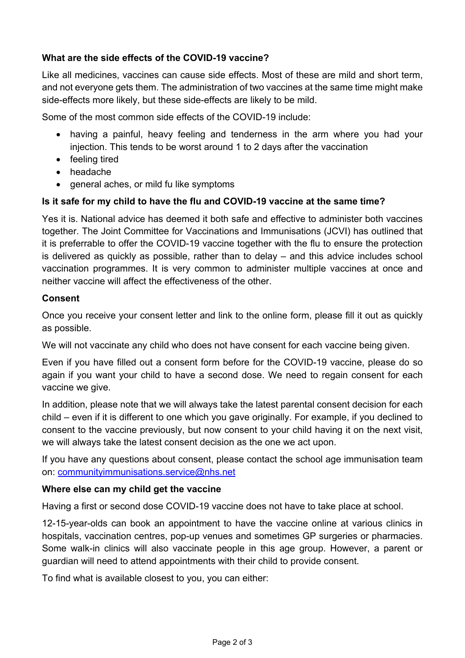## **What are the side effects of the COVID-19 vaccine?**

Like all medicines, vaccines can cause side effects. Most of these are mild and short term, and not everyone gets them. The administration of two vaccines at the same time might make side-effects more likely, but these side-effects are likely to be mild.

Some of the most common side effects of the COVID-19 include:

- having a painful, heavy feeling and tenderness in the arm where you had your injection. This tends to be worst around 1 to 2 days after the vaccination
- feeling tired
- headache
- general aches, or mild fu like symptoms

### **Is it safe for my child to have the flu and COVID-19 vaccine at the same time?**

Yes it is. National advice has deemed it both safe and effective to administer both vaccines together. The Joint Committee for Vaccinations and Immunisations (JCVI) has outlined that it is preferrable to offer the COVID-19 vaccine together with the flu to ensure the protection is delivered as quickly as possible, rather than to delay – and this advice includes school vaccination programmes. It is very common to administer multiple vaccines at once and neither vaccine will affect the effectiveness of the other.

#### **Consent**

Once you receive your consent letter and link to the online form, please fill it out as quickly as possible.

We will not vaccinate any child who does not have consent for each vaccine being given.

Even if you have filled out a consent form before for the COVID-19 vaccine, please do so again if you want your child to have a second dose. We need to regain consent for each vaccine we give.

In addition, please note that we will always take the latest parental consent decision for each child – even if it is different to one which you gave originally. For example, if you declined to consent to the vaccine previously, but now consent to your child having it on the next visit, we will always take the latest consent decision as the one we act upon.

If you have any questions about consent, please contact the school age immunisation team on: communityimmunisations.service@nhs.net

#### **Where else can my child get the vaccine**

Having a first or second dose COVID-19 vaccine does not have to take place at school.

12-15-year-olds can book an appointment to have the vaccine online at various clinics in hospitals, vaccination centres, pop-up venues and sometimes GP surgeries or pharmacies. Some walk-in clinics will also vaccinate people in this age group. However, a parent or guardian will need to attend appointments with their child to provide consent.

To find what is available closest to you, you can either: